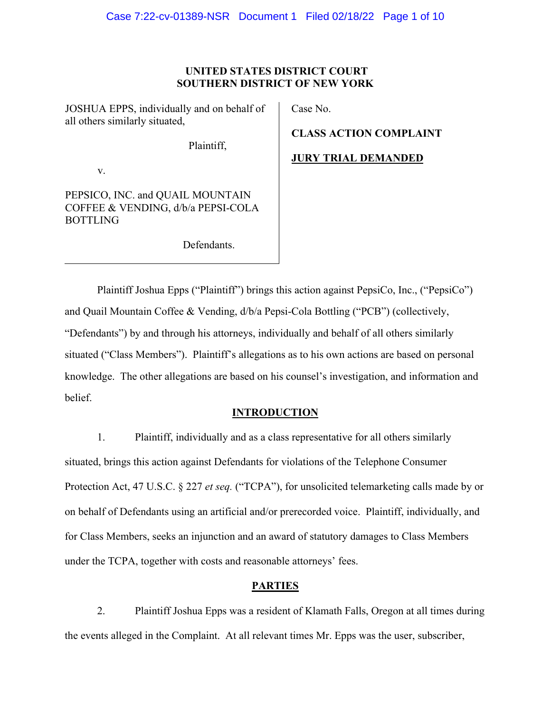## **UNITED STATES DISTRICT COURT SOUTHERN DISTRICT OF NEW YORK**

JOSHUA EPPS, individually and on behalf of all others similarly situated,

Plaintiff,

v.

PEPSICO, INC. and QUAIL MOUNTAIN COFFEE & VENDING, d/b/a PEPSI-COLA BOTTLING

Defendants.

Case No.

**CLASS ACTION COMPLAINT**

## **JURY TRIAL DEMANDED**

Plaintiff Joshua Epps ("Plaintiff") brings this action against PepsiCo, Inc., ("PepsiCo") and Quail Mountain Coffee & Vending, d/b/a Pepsi-Cola Bottling ("PCB") (collectively, "Defendants") by and through his attorneys, individually and behalf of all others similarly situated ("Class Members"). Plaintiff's allegations as to his own actions are based on personal knowledge. The other allegations are based on his counsel's investigation, and information and belief.

## **INTRODUCTION**

1. Plaintiff, individually and as a class representative for all others similarly situated, brings this action against Defendants for violations of the Telephone Consumer Protection Act, 47 U.S.C. § 227 *et seq.* ("TCPA"), for unsolicited telemarketing calls made by or on behalf of Defendants using an artificial and/or prerecorded voice. Plaintiff, individually, and for Class Members, seeks an injunction and an award of statutory damages to Class Members under the TCPA, together with costs and reasonable attorneys' fees.

## **PARTIES**

2. Plaintiff Joshua Epps was a resident of Klamath Falls, Oregon at all times during the events alleged in the Complaint. At all relevant times Mr. Epps was the user, subscriber,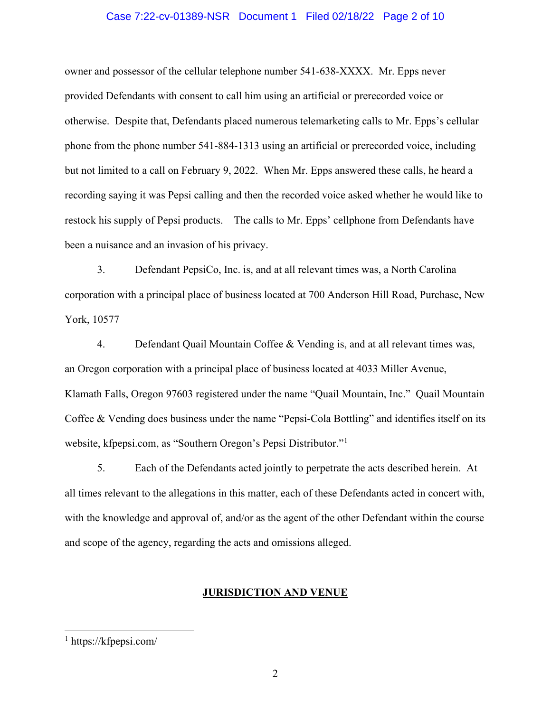### Case 7:22-cv-01389-NSR Document 1 Filed 02/18/22 Page 2 of 10

owner and possessor of the cellular telephone number 541-638-XXXX. Mr. Epps never provided Defendants with consent to call him using an artificial or prerecorded voice or otherwise. Despite that, Defendants placed numerous telemarketing calls to Mr. Epps's cellular phone from the phone number 541-884-1313 using an artificial or prerecorded voice, including but not limited to a call on February 9, 2022. When Mr. Epps answered these calls, he heard a recording saying it was Pepsi calling and then the recorded voice asked whether he would like to restock his supply of Pepsi products.The calls to Mr. Epps' cellphone from Defendants have been a nuisance and an invasion of his privacy.

3. Defendant PepsiCo, Inc. is, and at all relevant times was, a North Carolina corporation with a principal place of business located at 700 Anderson Hill Road, Purchase, New York, 10577

4. Defendant Quail Mountain Coffee & Vending is, and at all relevant times was, an Oregon corporation with a principal place of business located at 4033 Miller Avenue, Klamath Falls, Oregon 97603 registered under the name "Quail Mountain, Inc." Quail Mountain Coffee & Vending does business under the name "Pepsi-Cola Bottling" and identifies itself on its website, kfpepsi.com, as "Southern Oregon's Pepsi Distributor."[1](#page-1-0)

5. Each of the Defendants acted jointly to perpetrate the acts described herein. At all times relevant to the allegations in this matter, each of these Defendants acted in concert with, with the knowledge and approval of, and/or as the agent of the other Defendant within the course and scope of the agency, regarding the acts and omissions alleged.

## **JURISDICTION AND VENUE**

<span id="page-1-0"></span><sup>1</sup> https://kfpepsi.com/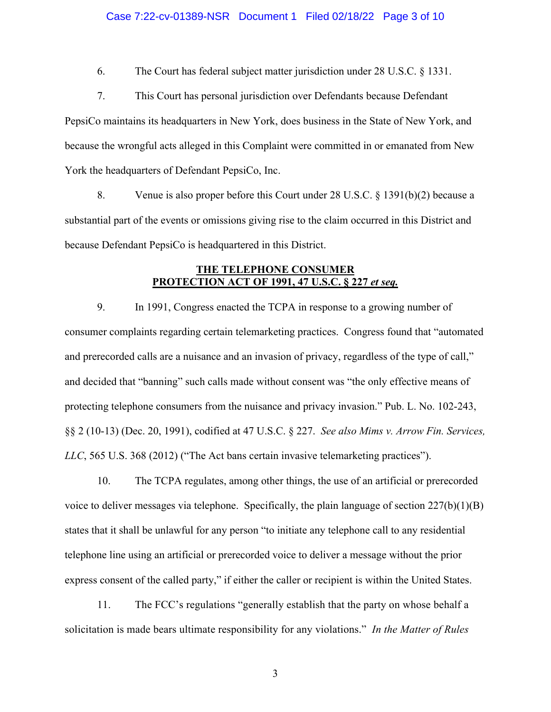### Case 7:22-cv-01389-NSR Document 1 Filed 02/18/22 Page 3 of 10

6. The Court has federal subject matter jurisdiction under 28 U.S.C. § 1331.

7. This Court has personal jurisdiction over Defendants because Defendant PepsiCo maintains its headquarters in New York, does business in the State of New York, and because the wrongful acts alleged in this Complaint were committed in or emanated from New York the headquarters of Defendant PepsiCo, Inc.

8. Venue is also proper before this Court under 28 U.S.C. § 1391(b)(2) because a substantial part of the events or omissions giving rise to the claim occurred in this District and because Defendant PepsiCo is headquartered in this District.

## **THE TELEPHONE CONSUMER PROTECTION ACT OF 1991, 47 U.S.C. § 227** *et seq.*

9. In 1991, Congress enacted the TCPA in response to a growing number of consumer complaints regarding certain telemarketing practices. Congress found that "automated and prerecorded calls are a nuisance and an invasion of privacy, regardless of the type of call," and decided that "banning" such calls made without consent was "the only effective means of protecting telephone consumers from the nuisance and privacy invasion." Pub. L. No. 102-243, §§ 2 (10-13) (Dec. 20, 1991), codified at 47 U.S.C. § 227. *See also Mims v. Arrow Fin. Services, LLC*, 565 U.S. 368 (2012) ("The Act bans certain invasive telemarketing practices").

10. The TCPA regulates, among other things, the use of an artificial or prerecorded voice to deliver messages via telephone. Specifically, the plain language of section  $227(b)(1)(B)$ states that it shall be unlawful for any person "to initiate any telephone call to any residential telephone line using an artificial or prerecorded voice to deliver a message without the prior express consent of the called party," if either the caller or recipient is within the United States.

11. The FCC's regulations "generally establish that the party on whose behalf a solicitation is made bears ultimate responsibility for any violations." *In the Matter of Rules*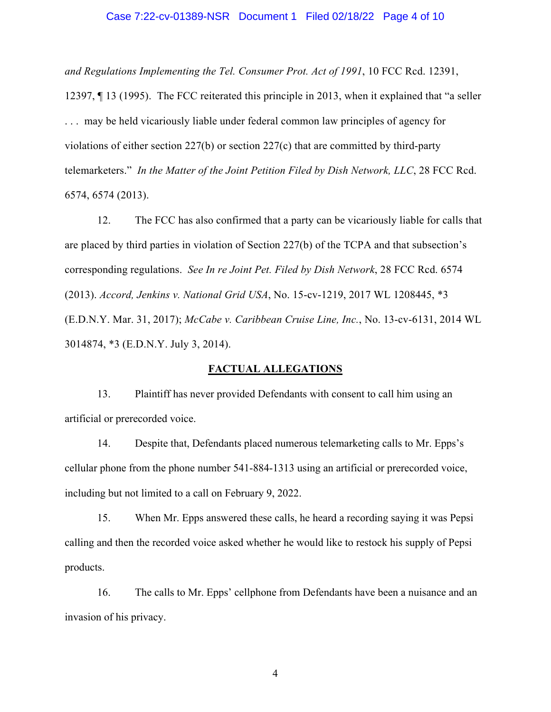### Case 7:22-cv-01389-NSR Document 1 Filed 02/18/22 Page 4 of 10

*and Regulations Implementing the Tel. Consumer Prot. Act of 1991*, 10 FCC Rcd. 12391,

12397, ¶ 13 (1995). The FCC reiterated this principle in 2013, when it explained that "a seller . . . may be held vicariously liable under federal common law principles of agency for violations of either section 227(b) or section 227(c) that are committed by third-party telemarketers." *In the Matter of the Joint Petition Filed by Dish Network, LLC*, 28 FCC Rcd. 6574, 6574 (2013).

12. The FCC has also confirmed that a party can be vicariously liable for calls that are placed by third parties in violation of Section 227(b) of the TCPA and that subsection's corresponding regulations. *See In re Joint Pet. Filed by Dish Network*, 28 FCC Rcd. 6574 (2013). *Accord, Jenkins v. National Grid USA*, No. 15-cv-1219, 2017 WL 1208445, \*3 (E.D.N.Y. Mar. 31, 2017); *McCabe v. Caribbean Cruise Line, Inc.*, No. 13-cv-6131, 2014 WL 3014874, \*3 (E.D.N.Y. July 3, 2014).

## **FACTUAL ALLEGATIONS**

13. Plaintiff has never provided Defendants with consent to call him using an artificial or prerecorded voice.

14. Despite that, Defendants placed numerous telemarketing calls to Mr. Epps's cellular phone from the phone number 541-884-1313 using an artificial or prerecorded voice, including but not limited to a call on February 9, 2022.

15. When Mr. Epps answered these calls, he heard a recording saying it was Pepsi calling and then the recorded voice asked whether he would like to restock his supply of Pepsi products.

16. The calls to Mr. Epps' cellphone from Defendants have been a nuisance and an invasion of his privacy.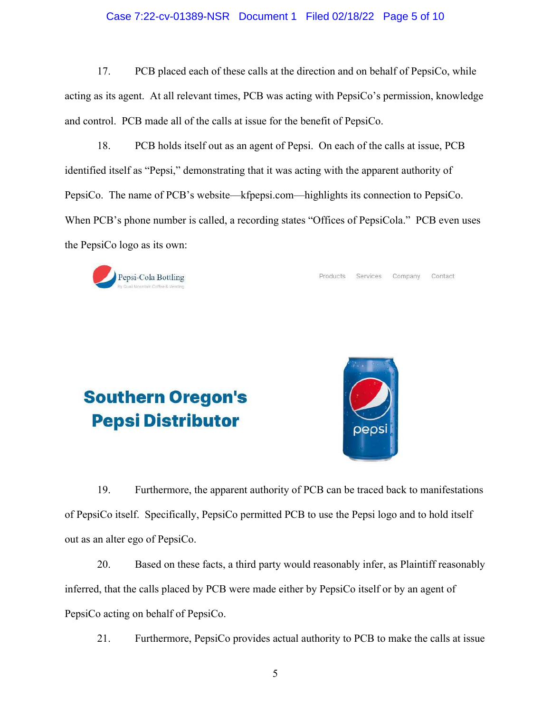## Case 7:22-cv-01389-NSR Document 1 Filed 02/18/22 Page 5 of 10

17. PCB placed each of these calls at the direction and on behalf of PepsiCo, while acting as its agent. At all relevant times, PCB was acting with PepsiCo's permission, knowledge and control. PCB made all of the calls at issue for the benefit of PepsiCo.

18. PCB holds itself out as an agent of Pepsi. On each of the calls at issue, PCB identified itself as "Pepsi," demonstrating that it was acting with the apparent authority of PepsiCo. The name of PCB's website—kfpepsi.com—highlights its connection to PepsiCo. When PCB's phone number is called, a recording states "Offices of PepsiCola." PCB even uses the PepsiCo logo as its own:



Products Services Company Contact

# **Southern Oregon's Pepsi Distributor**



19. Furthermore, the apparent authority of PCB can be traced back to manifestations of PepsiCo itself. Specifically, PepsiCo permitted PCB to use the Pepsi logo and to hold itself out as an alter ego of PepsiCo.

20. Based on these facts, a third party would reasonably infer, as Plaintiff reasonably inferred, that the calls placed by PCB were made either by PepsiCo itself or by an agent of PepsiCo acting on behalf of PepsiCo.

21. Furthermore, PepsiCo provides actual authority to PCB to make the calls at issue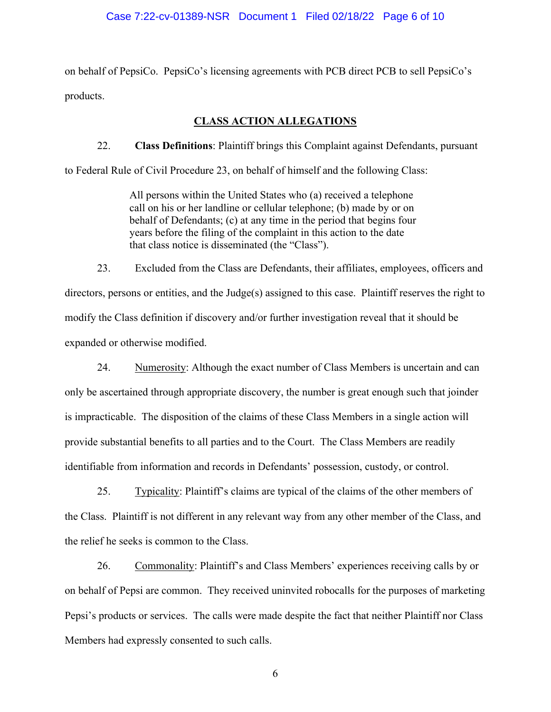on behalf of PepsiCo. PepsiCo's licensing agreements with PCB direct PCB to sell PepsiCo's products.

## **CLASS ACTION ALLEGATIONS**

22. **Class Definitions**: Plaintiff brings this Complaint against Defendants, pursuant to Federal Rule of Civil Procedure 23, on behalf of himself and the following Class:

> All persons within the United States who (a) received a telephone call on his or her landline or cellular telephone; (b) made by or on behalf of Defendants; (c) at any time in the period that begins four years before the filing of the complaint in this action to the date that class notice is disseminated (the "Class").

23. Excluded from the Class are Defendants, their affiliates, employees, officers and directors, persons or entities, and the Judge(s) assigned to this case. Plaintiff reserves the right to modify the Class definition if discovery and/or further investigation reveal that it should be expanded or otherwise modified.

24. Numerosity: Although the exact number of Class Members is uncertain and can only be ascertained through appropriate discovery, the number is great enough such that joinder is impracticable. The disposition of the claims of these Class Members in a single action will provide substantial benefits to all parties and to the Court. The Class Members are readily identifiable from information and records in Defendants' possession, custody, or control.

25. Typicality: Plaintiff's claims are typical of the claims of the other members of the Class. Plaintiff is not different in any relevant way from any other member of the Class, and the relief he seeks is common to the Class.

26. Commonality: Plaintiff's and Class Members' experiences receiving calls by or on behalf of Pepsi are common. They received uninvited robocalls for the purposes of marketing Pepsi's products or services. The calls were made despite the fact that neither Plaintiff nor Class Members had expressly consented to such calls.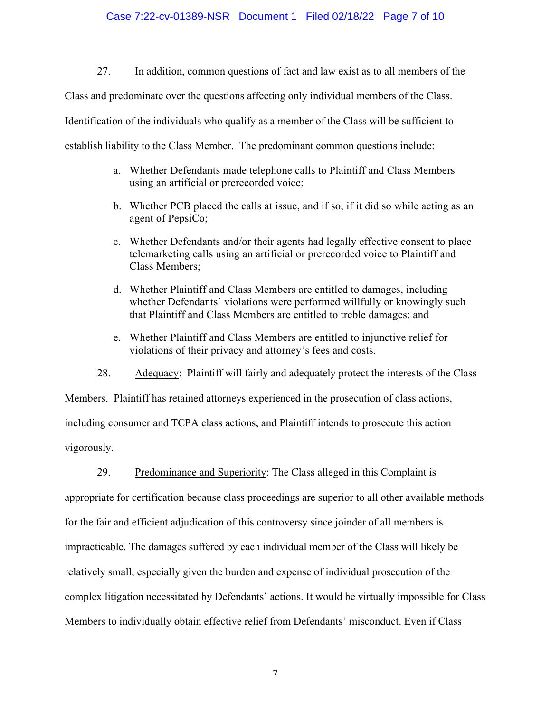### Case 7:22-cv-01389-NSR Document 1 Filed 02/18/22 Page 7 of 10

27. In addition, common questions of fact and law exist as to all members of the

Class and predominate over the questions affecting only individual members of the Class.

Identification of the individuals who qualify as a member of the Class will be sufficient to

establish liability to the Class Member. The predominant common questions include:

- a. Whether Defendants made telephone calls to Plaintiff and Class Members using an artificial or prerecorded voice;
- b. Whether PCB placed the calls at issue, and if so, if it did so while acting as an agent of PepsiCo;
- c. Whether Defendants and/or their agents had legally effective consent to place telemarketing calls using an artificial or prerecorded voice to Plaintiff and Class Members;
- d. Whether Plaintiff and Class Members are entitled to damages, including whether Defendants' violations were performed willfully or knowingly such that Plaintiff and Class Members are entitled to treble damages; and
- e. Whether Plaintiff and Class Members are entitled to injunctive relief for violations of their privacy and attorney's fees and costs.

28. Adequacy: Plaintiff will fairly and adequately protect the interests of the Class

Members. Plaintiff has retained attorneys experienced in the prosecution of class actions, including consumer and TCPA class actions, and Plaintiff intends to prosecute this action vigorously.

29. Predominance and Superiority: The Class alleged in this Complaint is

appropriate for certification because class proceedings are superior to all other available methods for the fair and efficient adjudication of this controversy since joinder of all members is impracticable. The damages suffered by each individual member of the Class will likely be relatively small, especially given the burden and expense of individual prosecution of the complex litigation necessitated by Defendants' actions. It would be virtually impossible for Class Members to individually obtain effective relief from Defendants' misconduct. Even if Class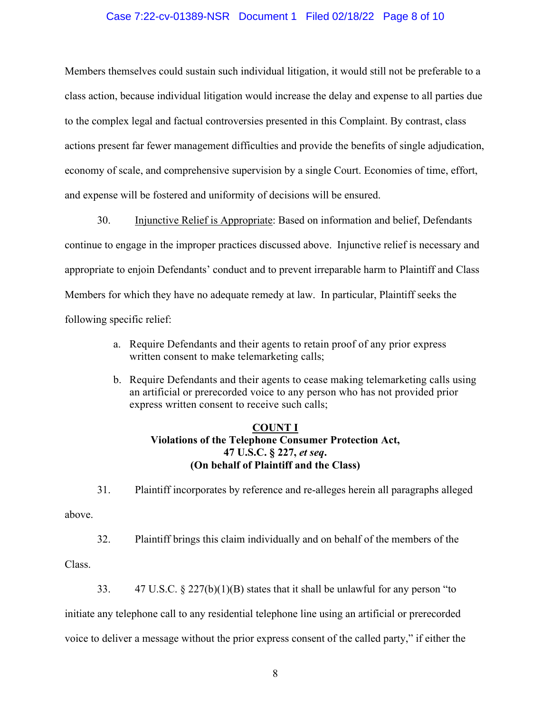## Case 7:22-cv-01389-NSR Document 1 Filed 02/18/22 Page 8 of 10

Members themselves could sustain such individual litigation, it would still not be preferable to a class action, because individual litigation would increase the delay and expense to all parties due to the complex legal and factual controversies presented in this Complaint. By contrast, class actions present far fewer management difficulties and provide the benefits of single adjudication, economy of scale, and comprehensive supervision by a single Court. Economies of time, effort, and expense will be fostered and uniformity of decisions will be ensured.

30. Injunctive Relief is Appropriate: Based on information and belief, Defendants continue to engage in the improper practices discussed above. Injunctive relief is necessary and appropriate to enjoin Defendants' conduct and to prevent irreparable harm to Plaintiff and Class Members for which they have no adequate remedy at law. In particular, Plaintiff seeks the following specific relief:

- a. Require Defendants and their agents to retain proof of any prior express written consent to make telemarketing calls;
- b. Require Defendants and their agents to cease making telemarketing calls using an artificial or prerecorded voice to any person who has not provided prior express written consent to receive such calls;

## **COUNT I**

# **Violations of the Telephone Consumer Protection Act, 47 U.S.C. § 227,** *et seq***. (On behalf of Plaintiff and the Class)**

31. Plaintiff incorporates by reference and re-alleges herein all paragraphs alleged above.

32. Plaintiff brings this claim individually and on behalf of the members of the

Class.

33.  $47 \text{ U.S.C.} \& 227(b)(1)(B)$  states that it shall be unlawful for any person "to

initiate any telephone call to any residential telephone line using an artificial or prerecorded

voice to deliver a message without the prior express consent of the called party," if either the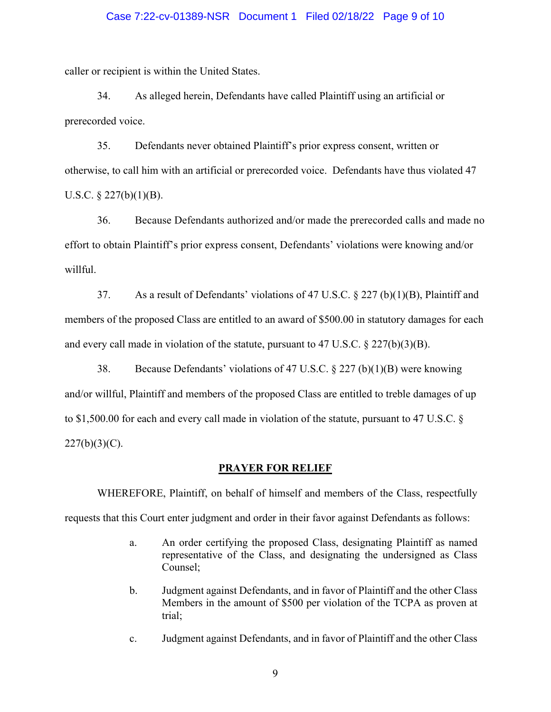### Case 7:22-cv-01389-NSR Document 1 Filed 02/18/22 Page 9 of 10

caller or recipient is within the United States.

34. As alleged herein, Defendants have called Plaintiff using an artificial or prerecorded voice.

35. Defendants never obtained Plaintiff's prior express consent, written or otherwise, to call him with an artificial or prerecorded voice. Defendants have thus violated 47 U.S.C.  $\S$  227(b)(1)(B).

36. Because Defendants authorized and/or made the prerecorded calls and made no effort to obtain Plaintiff's prior express consent, Defendants' violations were knowing and/or willful.

37. As a result of Defendants' violations of 47 U.S.C. § 227 (b)(1)(B), Plaintiff and members of the proposed Class are entitled to an award of \$500.00 in statutory damages for each and every call made in violation of the statute, pursuant to 47 U.S.C.  $\S 227(b)(3)(B)$ .

38. Because Defendants' violations of 47 U.S.C. § 227 (b)(1)(B) were knowing and/or willful, Plaintiff and members of the proposed Class are entitled to treble damages of up to \$1,500.00 for each and every call made in violation of the statute, pursuant to 47 U.S.C. §  $227(b)(3)(C)$ .

#### **PRAYER FOR RELIEF**

WHEREFORE, Plaintiff, on behalf of himself and members of the Class, respectfully requests that this Court enter judgment and order in their favor against Defendants as follows:

- a. An order certifying the proposed Class, designating Plaintiff as named representative of the Class, and designating the undersigned as Class Counsel;
- b. Judgment against Defendants, and in favor of Plaintiff and the other Class Members in the amount of \$500 per violation of the TCPA as proven at trial;
- c. Judgment against Defendants, and in favor of Plaintiff and the other Class